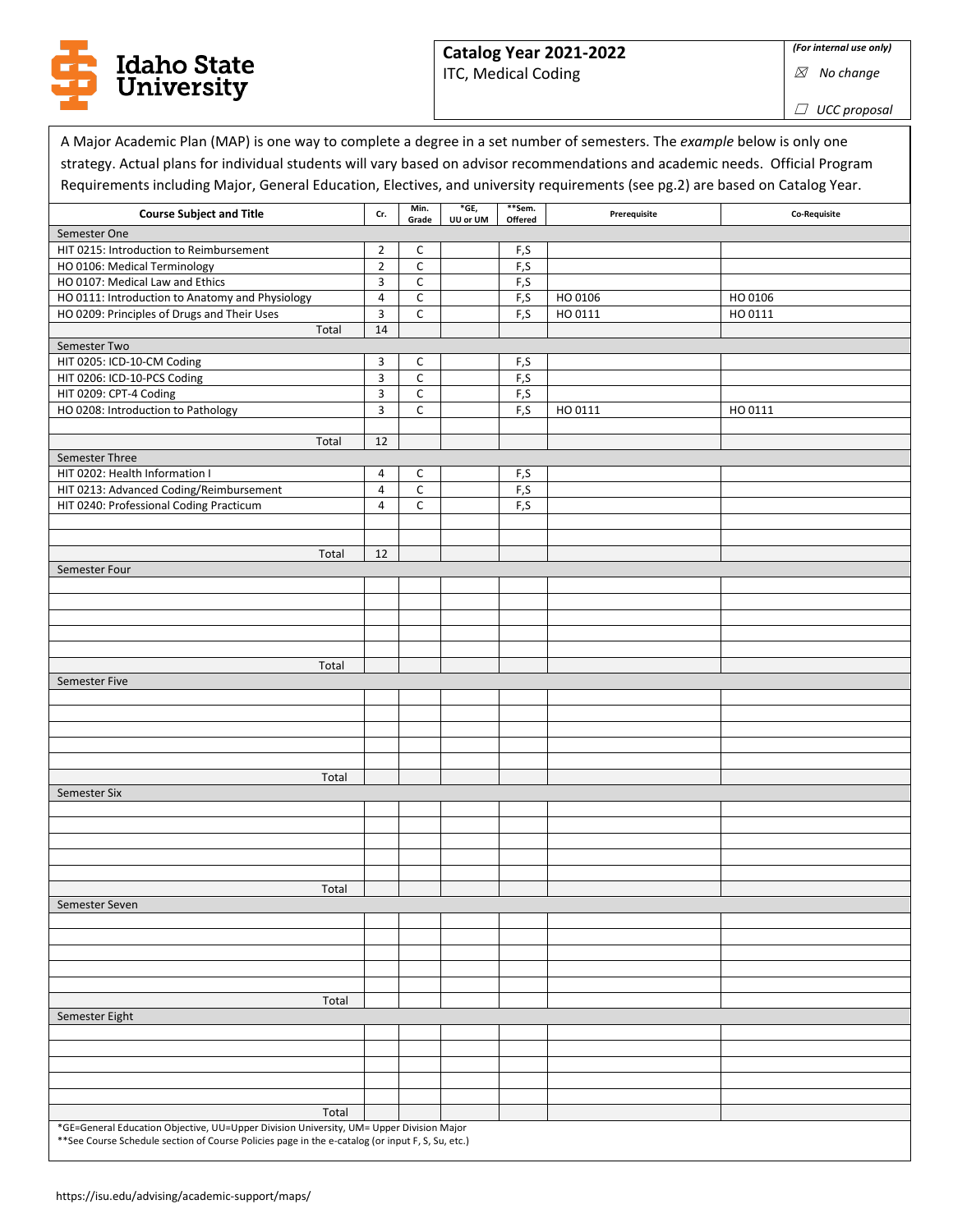

## **Catalog Year 2021-2022**

ITC, Medical Coding

☒ *No change*

☐ *UCC proposal*

٦

| <b>Course Subject and Title</b>                 | Cr.            | Min.         | *GE,     | **Sem.  | Prerequisite | Co-Requisite |
|-------------------------------------------------|----------------|--------------|----------|---------|--------------|--------------|
| Semester One                                    |                | Grade        | UU or UM | Offered |              |              |
| HIT 0215: Introduction to Reimbursement         | $\overline{2}$ | C            |          | F,S     |              |              |
| HO 0106: Medical Terminology                    | $\overline{2}$ | $\mathsf C$  |          | F,S     |              |              |
| HO 0107: Medical Law and Ethics                 | 3              | $\mathsf{C}$ |          | F,S     |              |              |
| HO 0111: Introduction to Anatomy and Physiology | 4              | C            |          | F,S     | HO 0106      | HO 0106      |
| HO 0209: Principles of Drugs and Their Uses     | 3              | C            |          | F,S     | HO 0111      | HO 0111      |
| Total                                           | 14             |              |          |         |              |              |
| Semester Two                                    |                |              |          |         |              |              |
| HIT 0205: ICD-10-CM Coding                      | 3              | C            |          | F,S     |              |              |
| HIT 0206: ICD-10-PCS Coding                     | 3              | $\mathsf C$  |          | F,S     |              |              |
| HIT 0209: CPT-4 Coding                          | 3              | $\mathsf C$  |          | F,S     |              |              |
| HO 0208: Introduction to Pathology              | 3              | C            |          | F,S     | HO 0111      | HO 0111      |
|                                                 |                |              |          |         |              |              |
| Total                                           | 12             |              |          |         |              |              |
| Semester Three                                  |                |              |          |         |              |              |
| HIT 0202: Health Information I                  | 4              | C            |          | F,S     |              |              |
| HIT 0213: Advanced Coding/Reimbursement         | 4              | $\mathsf{C}$ |          | F,S     |              |              |
| HIT 0240: Professional Coding Practicum         | $\overline{4}$ | $\mathsf{C}$ |          | F,S     |              |              |
|                                                 |                |              |          |         |              |              |
|                                                 |                |              |          |         |              |              |
| Total                                           | 12             |              |          |         |              |              |
| Semester Four                                   |                |              |          |         |              |              |
|                                                 |                |              |          |         |              |              |
|                                                 |                |              |          |         |              |              |
|                                                 |                |              |          |         |              |              |
|                                                 |                |              |          |         |              |              |
|                                                 |                |              |          |         |              |              |
| Total                                           |                |              |          |         |              |              |
| Semester Five                                   |                |              |          |         |              |              |
|                                                 |                |              |          |         |              |              |
|                                                 |                |              |          |         |              |              |
|                                                 |                |              |          |         |              |              |
|                                                 |                |              |          |         |              |              |
|                                                 |                |              |          |         |              |              |
| Total                                           |                |              |          |         |              |              |
| Semester Six                                    |                |              |          |         |              |              |
|                                                 |                |              |          |         |              |              |
|                                                 |                |              |          |         |              |              |
|                                                 |                |              |          |         |              |              |
|                                                 |                |              |          |         |              |              |
|                                                 |                |              |          |         |              |              |
| Total                                           |                |              |          |         |              |              |
| Semester Seven                                  |                |              |          |         |              |              |
|                                                 |                |              |          |         |              |              |
|                                                 |                |              |          |         |              |              |
|                                                 |                |              |          |         |              |              |
|                                                 |                |              |          |         |              |              |
|                                                 |                |              |          |         |              |              |
|                                                 |                |              |          |         |              |              |
|                                                 |                |              |          |         |              |              |
| Total                                           |                |              |          |         |              |              |
|                                                 |                |              |          |         |              |              |
|                                                 |                |              |          |         |              |              |
|                                                 |                |              |          |         |              |              |
| Semester Eight                                  |                |              |          |         |              |              |
|                                                 |                |              |          |         |              |              |